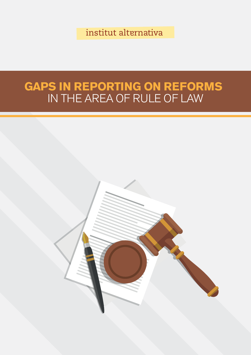institut alternativa

# **GAPS IN REPORTING ON REFORMS** IN THE AREA OF RULE OF LAW

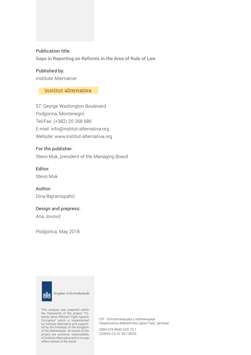#### Publication title:

**Gaps in Reporting on Reforms in the Area of Rule of Law**

Published by: Institute Alternative

#### institut alternativa

57, George Washington Boulevard Podgorica, Montenegro Tel/Fax: (+382) 20 268 686 E-mail: info@institut-alternativa.org Website: www.institut-alternativa.org

#### For the publisher:

Stevo Muk, president of the Managing Board

#### Editor:

Stevo Muk

Author: Dina Bajramspahić

#### Design and prepress:

Ana Jovović

Podgorica, May 2018.



Kingdom of the Netherlands

This analysis was prepared within the framework of the project "Towards More Efficient Fight Against Corruption" which is implemented by Institute Alternative and supported by the Embassy of the Kingdom of the Netherlands. All results of the project are exclusive responsibility of Institute Alternative and in no way reflect stands of the donor.

CIP - Kaталогизација у публикацији Национална библиотека Црне Горе, Цетиње

ISBN 978-9940-533-73-1 COBISS.CG-ID 36118032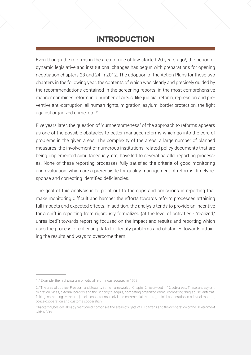## INTRODUCTION

Even though the reforms in the area of rule of law started 20 years ago<sup>1</sup>, the period of dynamic legislative and institutional changes has begun with preparations for opening negotiation chapters 23 and 24 in 2012. The adoption of the Action Plans for these two chapters in the following year, the contents of which was clearly and precisely guided by the recommendations contained in the screening reports, in the most comprehensive manner combines reform in a number of areas, like judicial reform, repression and preventive anti-corruption, all human rights, migration, asylum, border protection, the fight against organized crime, etc.<sup>2</sup>

Five years later, the question of "cumbersomeness" of the approach to reforms appears as one of the possible obstacles to better managed reforms which go into the core of problems in the given areas. The complexity of the areas, a large number of planned measures, the involvement of numerous institutions, related policy documents that are being implemented simultaneously, etc, have led to several parallel reporting processes. None of these reporting processes fully satisfied the criteria of good monitoring and evaluation, which are a prerequisite for quality management of reforms, timely response and correcting identified deficiencies.

The goal of this analysis is to point out to the gaps and omissions in reporting that make monitoring difficult and hamper the efforts towards reform processes attaining full impacts and expected effects. In addition, the analysis tends to provide an incentive for a shift in reporting from rigorously formalized (at the level of activities - "realized/ unrealized") towards reporting focused on the impact and results and reporting which uses the process of collecting data to identify problems and obstacles towards attaining the results and ways to overcome them .

<sup>1 /</sup> Example, the first program of judicial reform was adopted in 1998.

<sup>2 /</sup> The area of Justice, Freedom and Security in the framework of Chapter 24 is divided in 12 sub-areas. These are: asylum, migration, visas, external borders and the Schengen acquis, combating organized crime, combating drug abuse, anti-trafficking, combating terrorism, judicial cooperation in civil and commercial matters, judicial cooperation in criminal matters, police cooperation and customs cooperation.

Chapter 23, besides already mentioned, comprises the areas of rights of EU citizens and the cooperation of the Government with NGOs.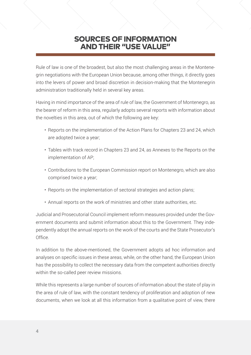## SOURCES OF INFORMATION AND THEIR "USE VALUE"

Rule of law is one of the broadest, but also the most challenging areas in the Montenegrin negotiations with the European Union because, among other things, it directly goes into the levers of power and broad discretion in decision-making that the Montenegrin administration traditionally held in several key areas.

Having in mind importance of the area of rule of law, the Government of Montenegro, as the bearer of reform in this area, regularly adopts several reports with information about the novelties in this area, out of which the following are key:

- Reports on the implementation of the Action Plans for Chapters 23 and 24, which are adopted twice a year;
- Tables with track record in Chapters 23 and 24, as Annexes to the Reports on the implementation of AP;
- Contributions to the European Commission report on Montenegro, which are also comprised twice a year;
- Reports on the implementation of sectoral strategies and action plans;
- Annual reports on the work of ministries and other state authorities, etc.

Judicial and Prosecutorial Council implement reform measures provided under the Government documents and submit information about this to the Government. They independently adopt the annual reports on the work of the courts and the State Prosecutor's Office.

In addition to the above-mentioned, the Government adopts ad hoc information and analyses on specific issues in these areas, while, on the other hand, the European Union has the possibility to collect the necessary data from the competent authorities directly within the so-called peer review missions.

While this represents a large number of sources of information about the state of play in the area of rule of law, with the constant tendency of proliferation and adoption of new documents, when we look at all this information from a qualitative point of view, there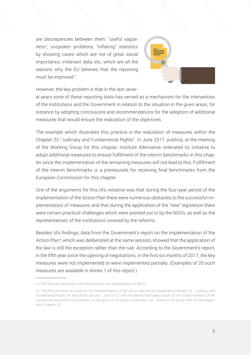are discrepancies between them, "useful vagueness", unspoken problems, "inflating" statistics by showing cases which are not of great social importance, irrelevant data, etc, which are all the reasons why the EU believes that the reporting must be improved.3



However, the key problem is that in the last sever-

al years none of these reporting tools has served as a mechanism for the intervention of the institutions and the Government in relation to the situation in the given areas, for instance by adopting conclusions and recommendations for the adoption of additional measures that would ensure the realization of the objectives.

The example which illustrates this practice is the realization of measures within the Chapter 23 "Judiciary and Fundamental Rights". In June 2017, publicly, at the meeting of the Working Group for this chapter, Institute Alternative reiterated its initiative to adopt additional measures to ensure fulfillment of the interim benchmarks in this chapter since the implementation of the remaining measures will not lead to this. Fulfillment of the interim benchmarks is a prerequisite for receiving final benchmarks from the European Commission for this chapter.

One of the arguments for this IA's initiative was that during the four-year period of the implementation of the Action Plan there were numerous obstacles to the successful implementation of measures and that during the application of the "new" legislation there were certain practical challenges which were pointed out to by the NGOs, as well as the representatives of the institutions covered by the reforms.

Besides IA's findings, data from the Government's report on the implementation of the Action Plan<sup>4</sup>, which was deliberated at the same session, showed that the application of the law is still the exception rather than the rule. According to the Government's report, in the fifth year since the opening of negotiations, in the first six months of 2017, the key measures were not implemented or were implemented partially. (Examples of 20 such measures are available in Annex 1 of this report.)

<sup>3 /</sup> The attitude expressed in the interview with the representative of the EU.

<sup>4 /</sup> The fifth semi-annual report on the implementation of the Action Plan for the Negotiating Chapter 23 - Judiciary and Fundamental Rights for the period January - June 2017, with the Second half-yearly report on the implementation of the Operational document for prevention of corruption in the areas of particular risk - Annex of the Action Plan for the Negotiating Chapter 23.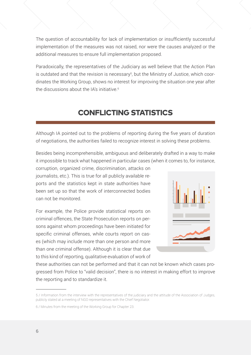The question of accountability for lack of implementation or insufficiently successful implementation of the measures was not raised, nor were the causes analyzed or the additional measures to ensure full implementation proposed.

Paradoxically, the representatives of the Judiciary as well believe that the Action Plan is outdated and that the revision is necessary<sup>5</sup>, but the Ministry of Justice, which coordinates the Working Group, shows no interest for improving the situation one year after the discussions about the IA's initiative.<sup>6</sup>

# CONFLICTING STATISTICS

Although IA pointed out to the problems of reporting during the five years of duration of negotiations, the authorities failed to recognize interest in solving these problems.

Besides being incomprehensible, ambiguous and deliberately drafted in a way to make it impossible to track what happened in particular cases (when it comes to, for instance,

corruption, organized crime, discrimination, attacks on journalists, etc.). This is true for all publicly available reports and the statistics kept in state authorities have been set up so that the work of interconnected bodies can not be monitored.

For example, the Police provide statistical reports on criminal offences, the State Prosecution reports on persons against whom proceedings have been initiated for specific criminal offenses, while courts report on cases (which may include more than one person and more than one criminal offense). Although it is clear that due to this kind of reporting, qualitative evaluation of work of



these authorities can not be performed and that it can not be known which cases progressed from Police to "valid decision", there is no interest in making effort to improve the reporting and to standardize it.

<sup>5 /</sup> Information from the interview with the representatives of the judiciary and the attitude of the Association of Judges, publicly stated at a meeting of NGO representatives with the Chief Negotiator.

<sup>6 /</sup> Minutes from the meeting of the Working Group for Chapter 23.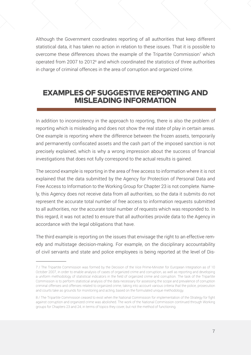Although the Government coordinates reporting of all authorities that keep different statistical data, it has taken no action in relation to these issues. That it is possible to overcome these differences shows the example of the Tripartite Commission<sup>7</sup> which operated from 2007 to 2012<sup>8</sup> and which coordinated the statistics of three authorities in charge of criminal offences in the area of corruption and organized crime.

#### EXAMPLES OF SUGGESTIVE REPORTING AND MISLEADING INFORMATION

In addition to inconsistency in the approach to reporting, there is also the problem of reporting which is misleading and does not show the real state of play in certain areas. One example is reporting where the difference between the frozen assets, temporarily and permanently confiscated assets and the cash part of the imposed sanction is not precisely explained, which is why a wrong impression about the success of financial investigations that does not fully correspond to the actual results is gained.

The second example is reporting in the area of free access to information where it is not explained that the data submitted by the Agency for Protection of Personal Data and Free Access to Information to the Working Group for Chapter 23 is not complete. Namely, this Agency does not receive data from all authorities, so the data it submits do not represent the accurate total number of free access to information requests submitted to all authorities, nor the accurate total number of requests which was responded to. In this regard, it was not acted to ensure that all authorities provide data to the Agency in accordance with the legal obligations that have.

The third example is reporting on the issues that envisage the right to an effective remedy and multistage decision-making. For example, on the disciplinary accountability of civil servants and state and police employees is being reported at the level of Dis-

<sup>7 /</sup> The Tripartite Commission was formed by the Decision of the Vice Prime-Minister for European Integration as of 10 October 2007, in order to enable analysis of cases of organized crime and corruption, as well as reporting and developing a uniform methodology of statistical indicators in the field of organized crime and corruption. The task of the Tripartite Commission is to perform statistical analysis of the data necessary for assessing the scope and prevalence of corruption criminal offenses and offenses related to organized crime, taking into account various criteria that the police, prosecution and courts take as grounds for monitoring and acting, based on the formulated unique methodology.

<sup>8 /</sup> The Tripartite Commission ceased to exist when the National Commission for implementation of the Strategy for fight against corruption and organized crime was abolished. The work of the National Commission continued through Working groups for Chapters 23 and 24, in terms of topics they cover, but not the method of functioning.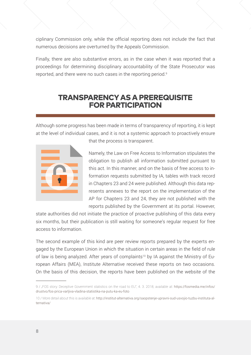ciplinary Commission only, while the official reporting does not include the fact that numerous decisions are overturned by the Appeals Commission.

Finally, there are also substantive errors, as in the case when it was reported that a proceedings for determining disciplinary accountability of the State Prosecutor was reported, and there were no such cases in the reporting period.<sup>9</sup>

## TRANSPARENCY AS A PREREQUISITE FOR PARTICIPATION

Although some progress has been made in terms of transparency of reporting, it is kept at the level of individual cases, and it is not a systemic approach to proactively ensure



that the process is transparent.

Namely, the Law on Free Access to Information stipulates the obligation to publish all information submitted pursuant to this act. In this manner, and on the basis of free access to information requests submitted by IA, tables with track record in Chapters 23 and 24 were published. Although this data represents annexes to the report on the implementation of the AP for Chapters 23 and 24, they are not published with the reports published by the Government at its portal. However,

state authorities did not initiate the practice of proactive publishing of this data every six months, but their publication is still waiting for someone's regular request for free access to information.

The second example of this kind are peer review reports prepared by the experts engaged by the European Union in which the situation in certain areas in the field of rule of law is being analyzed. After years of complaints<sup>10</sup> by IA against the Ministry of European Affairs (MEA), Institute Alternative received these reports on two occasions. On the basis of this decision, the reports have been published on the website of the

<sup>9 / &</sup>quot;FOS story: Deceptive Government statistics on the road to EU", 4. 3. 2018, available at: [https://fosmedia.me/infos/](https://fosmedia.me/infos/drustvo/fos-prica-varljiva-vladina-statistika-na-putu-ka-eu-foto) [drustvo/fos-prica-varljiva-vladina-statistika-na-putu-ka-eu-foto](https://fosmedia.me/infos/drustvo/fos-prica-varljiva-vladina-statistika-na-putu-ka-eu-foto)

<sup>10 /</sup> More detail about this is available at: [http://institut-alternativa.org/saopstenje-upravni-sud-usvojio-tuzbu-instituta-al](http://institut-alternativa.org/saopstenje-upravni-sud-usvojio-tuzbu-instituta-alternativa/)[ternativa/](http://institut-alternativa.org/saopstenje-upravni-sud-usvojio-tuzbu-instituta-alternativa/)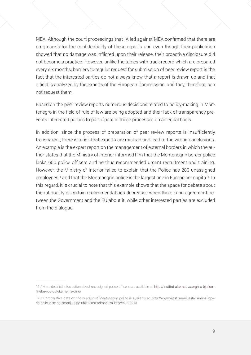MEA. Although the court proceedings that IA led against MEA confirmed that there are no grounds for the confidentiality of these reports and even though their publication showed that no damage was inflicted upon their release, their proactive disclosure did not become a practice. However, unlike the tables with track record which are prepared every six months, barriers to regular request for submission of peer review report is the fact that the interested parties do not always know that a report is drawn up and that a field is analyzed by the experts of the European Commission, and they, therefore, can not request them.

Based on the peer review reports numerous decisions related to policy-making in Montenegro in the field of rule of law are being adopted and their lack of transparency prevents interested parties to participate in these processes on an equal basis.

In addition, since the process of preparation of peer review reports is insufficiently transparent, there is a risk that experts are mislead and lead to the wrong conclusions. An example is the expert report on the management of external borders in which the author states that the Ministry of Interior informed him that the Montenegrin border police lacks 600 police officers and he thus recommended urgent recruitment and training. However, the Ministry of Interior failed to explain that the Police has 280 unassigned employees<sup>11</sup> and that the Montenegrin police is the largest one in Europe per capita<sup>12</sup>. In this regard, it is crucial to note that this example shows that the space for debate about the rationality of certain recommendations decreases when there is an agreement between the Government and the EU about it, while other interested parties are excluded from the dialogue.

<sup>11 /</sup> More detailed information about unassigned police officers are available at: [http://institut-alternativa.org/na-bijelom](http://institut-alternativa.org/na-bijelom-hljebu-i-po-odlukama-na-crno/)[hljebu-i-po-odlukama-na-crno/](http://institut-alternativa.org/na-bijelom-hljebu-i-po-odlukama-na-crno/)

<sup>12 /</sup> Comparative data on the number of Montenegrin police is available at: [http://www.vijesti.me/vijesti/kriminal-opa](http://www.vijesti.me/vijesti/kriminal-opada-policija-se-ne-smanjuje-po-ubistvima-odmah-iza-kosova-992213)[da-policija-se-ne-smanjuje-po-ubistvima-odmah-iza-kosova-992213](http://www.vijesti.me/vijesti/kriminal-opada-policija-se-ne-smanjuje-po-ubistvima-odmah-iza-kosova-992213)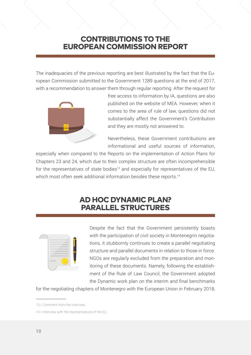## CONTRIBUTIONS TO THE EUROPEAN COMMISSION REPORT

The inadequacies of the previous reporting are best illustrated by the fact that the European Commission submitted to the Government 1289 questions at the end of 2017, with a recommendation to answer them through regular reporting. After the request for



free access to information by IA, questions are also published on the website of MEA. However, when it comes to the area of rule of law, questions did not substantially affect the Government's Contribution and they are mostly not answered to.

Nevertheless, these Government contributions are informational and useful sources of information,

especially when compared to the Reports on the implementation of Action Plans for Chapters 23 and 24, which due to their complex structure are often incomprehensible for the representatives of state bodies<sup>13</sup> and especially for representatives of the EU, which most often seek additional information besides these reports.<sup>14</sup>

## AD HOC DYNAMIC PLAN? PARALLEL STRUCTURES



Despite the fact that the Government persistently boasts with the participation of civil society in Montenegrin negotiations, it stubbornly continues to create a parallel negotiating structure and parallel documents in relation to those in force. NGOs are regularly excluded from the preparation and monitoring of these documents. Namely, following the establishment of the Rule of Law Council, the Government adopted the Dynamic work plan on the interim and final benchmarks

for the negotiating chapters of Montenegro with the European Union in February 2018,

<sup>13 /</sup> Comment from the interview.

<sup>14 /</sup> Interview with the representatives of the EU.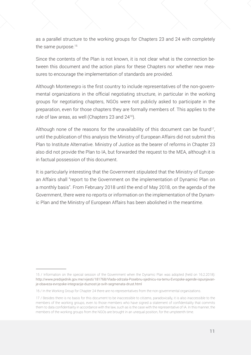as a parallel structure to the working groups for Chapters 23 and 24 with completely the same purpose.<sup>15</sup>

Since the contents of the Plan is not known, it is not clear what is the connection between this document and the action plans for these Chapters nor whether new measures to encourage the implementation of standards are provided.

Although Montenegro is the first country to include representatives of the non-governmental organizations in the official negotiating structure, in particular in the working groups for negotiating chapters, NGOs were not publicly asked to participate in the preparation, even for those chapters they are formally members of. This applies to the rule of law areas, as well (Chapters 23 and 24<sup>16</sup>).

Although none of the reasons for the unavailability of this document can be found<sup>17</sup>, until the publication of this analysis the Ministry of European Affairs did not submit this Plan to Institute Alternative. Ministry of Justice as the bearer of reforms in Chapter 23 also did not provide the Plan to IA, but forwarded the request to the MEA, although it is in factual possession of this document.

It is particularly interesting that the Government stipulated that the Ministry of European Affairs shall "report to the Government on the implementation of Dynamic Plan on a monthly basis". From February 2018 until the end of May 2018, on the agenda of the Government, there were no reports or information on the implementation of the Dynamic Plan and the Ministry of European Affairs has been abolished in the meantime.

<sup>15 /</sup> Information on the special session of the Government when the Dynamic Plan was adopted (held on 16.2.2018): [http://www.predsjednik.gov.me/vijesti/181768/Vlada-odrzala-Posebnu-sjednicu-na-temu-Evropske-agende-ispunjavan](http://www.predsjednik.gov.me/vijesti/181768/Vlada-odrzala-Posebnu-sjednicu-na-temu-Evropske-agende-ispunjavanje-obaveza-evropske-integracije-duznost-je-svih-segmenata-drust.html)[je-obaveza-evropske-integracije-duznost-je-svih-segmenata-drust.html](http://www.predsjednik.gov.me/vijesti/181768/Vlada-odrzala-Posebnu-sjednicu-na-temu-Evropske-agende-ispunjavanje-obaveza-evropske-integracije-duznost-je-svih-segmenata-drust.html)

<sup>16 /</sup> In the Working Group for Chapter 24 there are no representatives from the non-governmental organizations.

<sup>17 /</sup> Besides there is no basis for this document to be inaccessible to citizens, paradoxically, it is also inaccessible to the members of the working groups, even to those members who have signed a statement of confidentiality that commits them to data confidentiality in accordance with the law, such as is the case with the representative of IA. In this manner, the members of the working groups from the NGOs are brought in an unequal position, for the umpteenth time.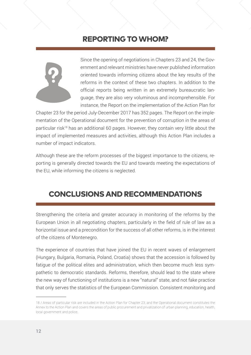## REPORTING TO WHOM?



Since the opening of negotiations in Chapters 23 and 24, the Government and relevant ministries have never published information oriented towards informing citizens about the key results of the reforms in the context of these two chapters. In addition to the official reports being written in an extremely bureaucratic language, they are also very voluminous and incomprehensible. For instance, the Report on the implementation of the Action Plan for

Chapter 23 for the period July-December 2017 has 352 pages. The Report on the implementation of the Operational document for the prevention of corruption in the areas of particular risk<sup>18</sup> has an additional 60 pages. However, they contain very little about the impact of implemented measures and activities, although this Action Plan includes a number of impact indicators.

Although these are the reform processes of the biggest importance to the citizens, reporting is generally directed towards the EU and towards meeting the expectations of the EU, while informing the citizens is neglected.

# CONCLUSIONS AND RECOMMENDATIONS

Strengthening the criteria and greater accuracy in monitoring of the reforms by the European Union in all negotiating chapters, particularly in the field of rule of law as a horizontal issue and a precondition for the success of all other reforms, is in the interest of the citizens of Montenegro.

The experience of countries that have joined the EU in recent waves of enlargement (Hungary, Bulgaria, Romania, Poland, Croatia) shows that the accession is followed by fatigue of the political elites and administration, which then become much less sympathetic to democratic standards. Reforms, therefore, should lead to the state where the new way of functioning of institutions is a new "natural" state, and not fake practice that only serves the statistics of the European Commission. Consistent monitoring and

<sup>18 /</sup> Areas of particular risk are included in the Action Plan for Chapter 23, and the Operational document constitutes the Annex to the Action Plan and covers the areas of public procurement and privatization of urban planning, education, health, local government and police.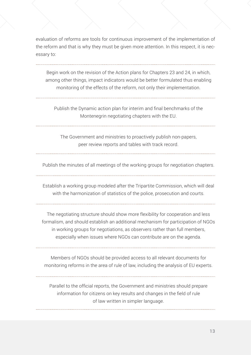evaluation of reforms are tools for continuous improvement of the implementation of the reform and that is why they must be given more attention. In this respect, it is necessary to:

Begin work on the revision of the Action plans for Chapters 23 and 24, in which, among other things, impact indicators would be better formulated thus enabling monitoring of the effects of the reform, not only their implementation.

Publish the Dynamic action plan for interim and final benchmarks of the Montenegrin negotiating chapters with the EU.

The Government and ministries to proactively publish non-papers, peer review reports and tables with track record.

Publish the minutes of all meetings of the working groups for negotiation chapters.

Establish a working group modeled after the Tripartite Commission, which will deal

with the harmonization of statistics of the police, prosecution and courts.

The negotiating structure should show more flexibility for cooperation and less formalism, and should establish an additional mechanism for participation of NGOs in working groups for negotiations, as observers rather than full members, especially when issues where NGOs can contribute are on the agenda.

Members of NGOs should be provided access to all relevant documents for monitoring reforms in the area of rule of law, including the analysis of EU experts.

Parallel to the official reports, the Government and ministries should prepare information for citizens on key results and changes in the field of rule of law written in simpler language.

**13**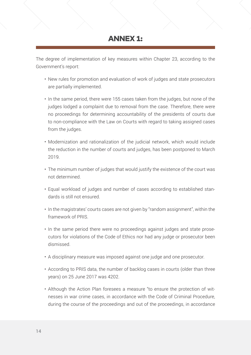## ANNEX 1:

The degree of implementation of key measures within Chapter 23, according to the Government's report:

- New rules for promotion and evaluation of work of judges and state prosecutors are partially implemented.
- In the same period, there were 155 cases taken from the judges, but none of the judges lodged a complaint due to removal from the case. Therefore, there were no proceedings for determining accountability of the presidents of courts due to non-compliance with the Law on Courts with regard to taking assigned cases from the judges.
- Modernization and rationalization of the judicial network, which would include the reduction in the number of courts and judges, has been postponed to March 2019.
- The minimum number of judges that would justify the existence of the court was not determined.
- Equal workload of judges and number of cases according to established standards is still not ensured.
- In the magistrates' courts cases are not given by "random assignment", within the framework of PRIS.
- In the same period there were no proceedings against judges and state prosecutors for violations of the Code of Ethics nor had any judge or prosecutor been dismissed.
- A disciplinary measure was imposed against one judge and one prosecutor.
- According to PRIS data, the number of backlog cases in courts (older than three years) on 25 June 2017 was 4202.
- Although the Action Plan foresees a measure "to ensure the protection of witnesses in war crime cases, in accordance with the Code of Criminal Procedure, during the course of the proceedings and out of the proceedings, in accordance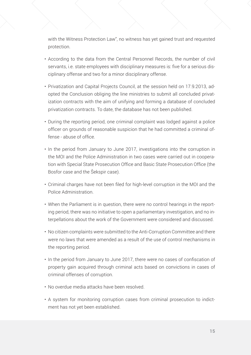with the Witness Protection Law", no witness has yet gained trust and requested protection.

- According to the data from the Central Personnel Records, the number of civil servants, i.e. state employees with disciplinary measures is: five for a serious disciplinary offense and two for a minor disciplinary offense.
- Privatization and Capital Projects Council, at the session held on 17.9.2013, adopted the Conclusion obliging the line ministries to submit all concluded privatization contracts with the aim of unifying and forming a database of concluded privatization contracts. To date, the database has not been published.
- During the reporting period, one criminal complaint was lodged against a police officer on grounds of reasonable suspicion that he had committed a criminal offense - abuse of office.
- In the period from January to June 2017, investigations into the corruption in the MOI and the Police Administration in two cases were carried out in cooperation with Special State Prosecution Office and Basic State Prosecution Office (the Bosfor case and the Šekspir case).
- Criminal charges have not been filed for high-level corruption in the MOI and the Police Administration.
- When the Parliament is in question, there were no control hearings in the reporting period, there was no initiative to open a parliamentary investigation, and no interpellations about the work of the Government were considered and discussed.
- No citizen complaints were submitted to the Anti-Corruption Committee and there were no laws that were amended as a result of the use of control mechanisms in the reporting period.
- In the period from January to June 2017, there were no cases of confiscation of property gain acquired through criminal acts based on convictions in cases of criminal offenses of corruption.
- No overdue media attacks have been resolved.
- A system for monitoring corruption cases from criminal prosecution to indictment has not yet been established.